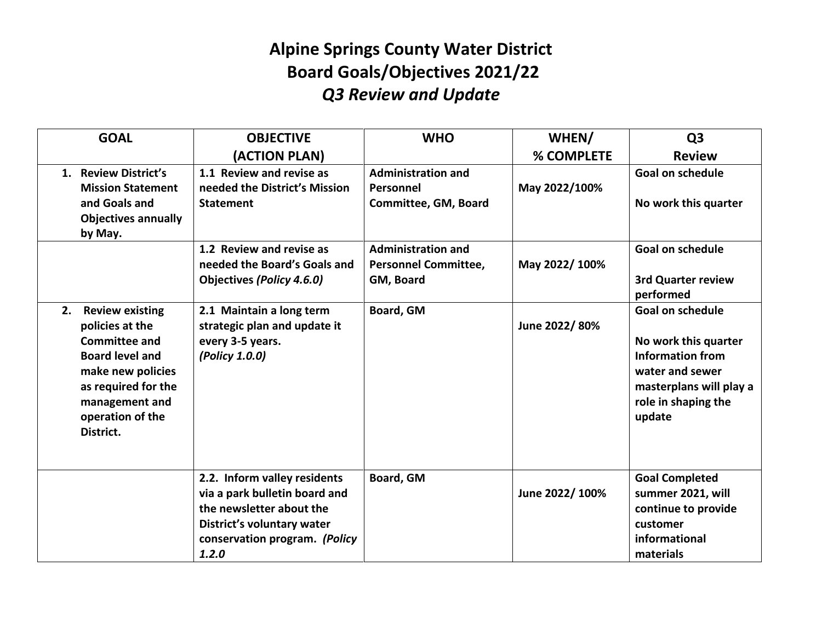## **Alpine Springs County Water District Board Goals/Objectives 2021/22** *Q3 Review and Update*

| <b>GOAL</b>                                                                                                                                                                                      | <b>OBJECTIVE</b>                                                                                                                                                  | <b>WHO</b>                                                            | WHEN/          | Q <sub>3</sub>                                                                                                                                            |
|--------------------------------------------------------------------------------------------------------------------------------------------------------------------------------------------------|-------------------------------------------------------------------------------------------------------------------------------------------------------------------|-----------------------------------------------------------------------|----------------|-----------------------------------------------------------------------------------------------------------------------------------------------------------|
|                                                                                                                                                                                                  | (ACTION PLAN)                                                                                                                                                     |                                                                       | % COMPLETE     | <b>Review</b>                                                                                                                                             |
| 1. Review District's<br><b>Mission Statement</b><br>and Goals and<br><b>Objectives annually</b><br>by May.                                                                                       | 1.1 Review and revise as<br>needed the District's Mission<br><b>Statement</b>                                                                                     | <b>Administration and</b><br>Personnel<br>Committee, GM, Board        | May 2022/100%  | <b>Goal on schedule</b><br>No work this quarter                                                                                                           |
|                                                                                                                                                                                                  | 1.2 Review and revise as<br>needed the Board's Goals and<br><b>Objectives (Policy 4.6.0)</b>                                                                      | <b>Administration and</b><br><b>Personnel Committee,</b><br>GM, Board | May 2022/100%  | <b>Goal on schedule</b><br><b>3rd Quarter review</b><br>performed                                                                                         |
| <b>Review existing</b><br>2.<br>policies at the<br><b>Committee and</b><br><b>Board level and</b><br>make new policies<br>as required for the<br>management and<br>operation of the<br>District. | 2.1 Maintain a long term<br>strategic plan and update it<br>every 3-5 years.<br>(Policy 1.0.0)                                                                    | Board, GM                                                             | June 2022/80%  | <b>Goal on schedule</b><br>No work this quarter<br><b>Information from</b><br>water and sewer<br>masterplans will play a<br>role in shaping the<br>update |
|                                                                                                                                                                                                  | 2.2. Inform valley residents<br>via a park bulletin board and<br>the newsletter about the<br>District's voluntary water<br>conservation program. (Policy<br>1.2.0 | Board, GM                                                             | June 2022/100% | <b>Goal Completed</b><br>summer 2021, will<br>continue to provide<br>customer<br>informational<br>materials                                               |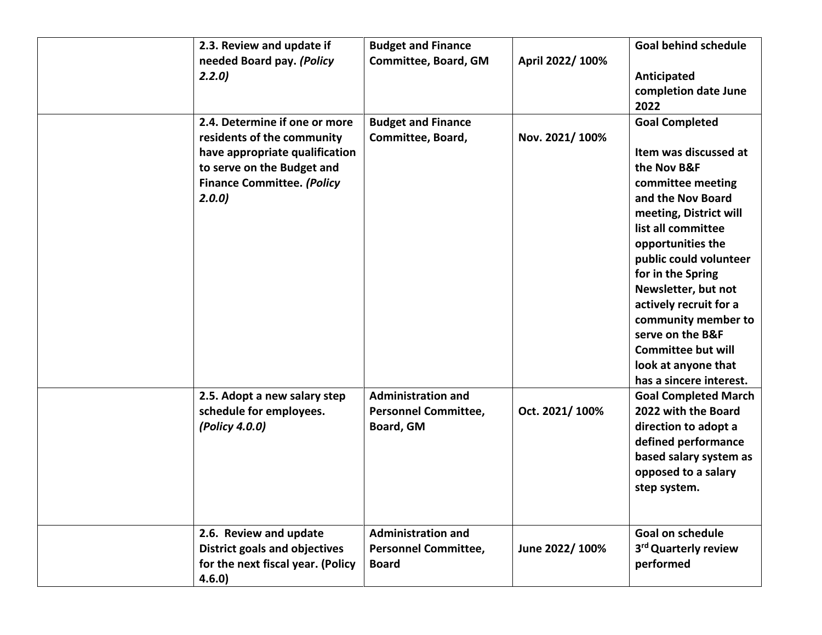| 2.3. Review and update if<br>needed Board pay. (Policy                                                                                                                    | <b>Budget and Finance</b><br>Committee, Board, GM                        | April 2022/ 100% | <b>Goal behind schedule</b>                                                                                                                                                                                                                                                                                                                                                                            |
|---------------------------------------------------------------------------------------------------------------------------------------------------------------------------|--------------------------------------------------------------------------|------------------|--------------------------------------------------------------------------------------------------------------------------------------------------------------------------------------------------------------------------------------------------------------------------------------------------------------------------------------------------------------------------------------------------------|
| 2.2.0                                                                                                                                                                     |                                                                          |                  | Anticipated<br>completion date June<br>2022                                                                                                                                                                                                                                                                                                                                                            |
| 2.4. Determine if one or more<br>residents of the community<br>have appropriate qualification<br>to serve on the Budget and<br><b>Finance Committee. (Policy</b><br>2.0.0 | <b>Budget and Finance</b><br>Committee, Board,                           | Nov. 2021/100%   | <b>Goal Completed</b><br>Item was discussed at<br>the Nov B&F<br>committee meeting<br>and the Nov Board<br>meeting, District will<br>list all committee<br>opportunities the<br>public could volunteer<br>for in the Spring<br>Newsletter, but not<br>actively recruit for a<br>community member to<br>serve on the B&F<br><b>Committee but will</b><br>look at anyone that<br>has a sincere interest. |
| 2.5. Adopt a new salary step<br>schedule for employees.<br>(Policy 4.0.0)                                                                                                 | <b>Administration and</b><br><b>Personnel Committee,</b><br>Board, GM    | Oct. 2021/100%   | <b>Goal Completed March</b><br>2022 with the Board<br>direction to adopt a<br>defined performance<br>based salary system as<br>opposed to a salary<br>step system.                                                                                                                                                                                                                                     |
| 2.6. Review and update<br><b>District goals and objectives</b><br>for the next fiscal year. (Policy<br>4.6.0)                                                             | <b>Administration and</b><br><b>Personnel Committee,</b><br><b>Board</b> | June 2022/100%   | Goal on schedule<br>3 <sup>rd</sup> Quarterly review<br>performed                                                                                                                                                                                                                                                                                                                                      |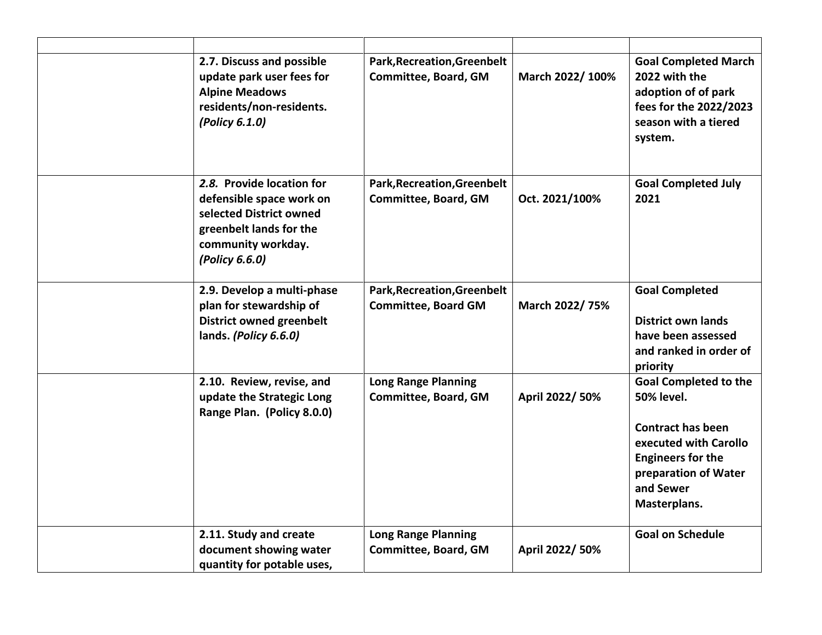| 2.7. Discuss and possible<br>update park user fees for<br><b>Alpine Meadows</b><br>residents/non-residents.<br>(Policy 6.1.0)                       | <b>Park, Recreation, Greenbelt</b><br>Committee, Board, GM | March 2022/100% | <b>Goal Completed March</b><br>2022 with the<br>adoption of of park<br>fees for the 2022/2023<br>season with a tiered<br>system.                                                        |
|-----------------------------------------------------------------------------------------------------------------------------------------------------|------------------------------------------------------------|-----------------|-----------------------------------------------------------------------------------------------------------------------------------------------------------------------------------------|
| 2.8. Provide location for<br>defensible space work on<br>selected District owned<br>greenbelt lands for the<br>community workday.<br>(Policy 6.6.0) | Park, Recreation, Greenbelt<br>Committee, Board, GM        | Oct. 2021/100%  | <b>Goal Completed July</b><br>2021                                                                                                                                                      |
| 2.9. Develop a multi-phase<br>plan for stewardship of<br><b>District owned greenbelt</b><br>lands. (Policy 6.6.0)                                   | Park, Recreation, Greenbelt<br><b>Committee, Board GM</b>  | March 2022/75%  | <b>Goal Completed</b><br><b>District own lands</b><br>have been assessed<br>and ranked in order of<br>priority                                                                          |
| 2.10. Review, revise, and<br>update the Strategic Long<br>Range Plan. (Policy 8.0.0)                                                                | <b>Long Range Planning</b><br>Committee, Board, GM         | April 2022/ 50% | <b>Goal Completed to the</b><br><b>50% level.</b><br><b>Contract has been</b><br>executed with Carollo<br><b>Engineers for the</b><br>preparation of Water<br>and Sewer<br>Masterplans. |
| 2.11. Study and create<br>document showing water<br>quantity for potable uses,                                                                      | <b>Long Range Planning</b><br>Committee, Board, GM         | April 2022/ 50% | <b>Goal on Schedule</b>                                                                                                                                                                 |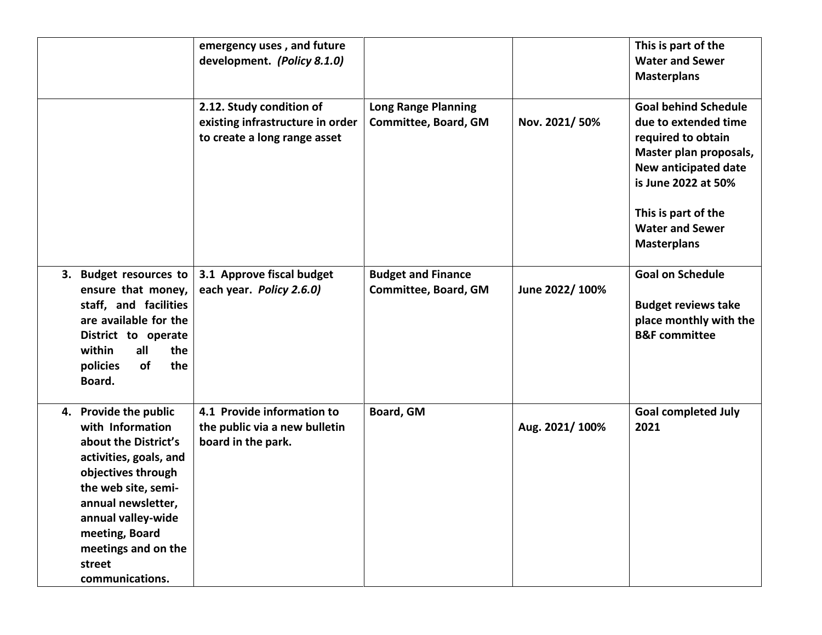|                                                                                                                                                                                                                                                            | emergency uses, and future<br>development. (Policy 8.1.0)                                    |                                                    |                | This is part of the<br><b>Water and Sewer</b><br><b>Masterplans</b>                                                                                                                                                       |
|------------------------------------------------------------------------------------------------------------------------------------------------------------------------------------------------------------------------------------------------------------|----------------------------------------------------------------------------------------------|----------------------------------------------------|----------------|---------------------------------------------------------------------------------------------------------------------------------------------------------------------------------------------------------------------------|
|                                                                                                                                                                                                                                                            | 2.12. Study condition of<br>existing infrastructure in order<br>to create a long range asset | <b>Long Range Planning</b><br>Committee, Board, GM | Nov. 2021/50%  | <b>Goal behind Schedule</b><br>due to extended time<br>required to obtain<br>Master plan proposals,<br>New anticipated date<br>is June 2022 at 50%<br>This is part of the<br><b>Water and Sewer</b><br><b>Masterplans</b> |
| 3. Budget resources to<br>ensure that money,<br>staff, and facilities<br>are available for the<br>District to operate<br>within<br>all<br>the<br>the<br>of<br>policies<br>Board.                                                                           | 3.1 Approve fiscal budget<br>each year. Policy 2.6.0)                                        | <b>Budget and Finance</b><br>Committee, Board, GM  | June 2022/100% | <b>Goal on Schedule</b><br><b>Budget reviews take</b><br>place monthly with the<br><b>B&amp;F</b> committee                                                                                                               |
| 4. Provide the public<br>with Information<br>about the District's<br>activities, goals, and<br>objectives through<br>the web site, semi-<br>annual newsletter,<br>annual valley-wide<br>meeting, Board<br>meetings and on the<br>street<br>communications. | 4.1 Provide information to<br>the public via a new bulletin<br>board in the park.            | Board, GM                                          | Aug. 2021/100% | <b>Goal completed July</b><br>2021                                                                                                                                                                                        |